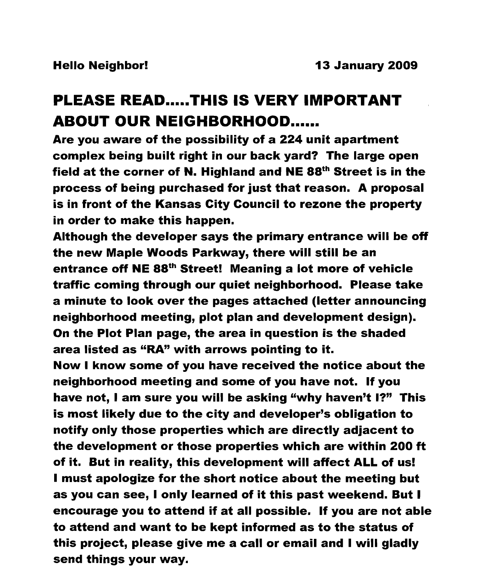## PLEASE READ.....THIS IS VERY IMPORTANT **ABOUT OUR NEIGHBORHOOD......**

Are you aware of the possibility of a 224 unit apartment complex being built right in our back yard? The large open field at the corner of N. Highland and NE  $88<sup>th</sup>$  Street is in the process of being purchased for just that reason. A proposal is in front of the Kansas City Council to rezone the property in order to make this happen.

Although the developer says the primary entrance will be off the new Maple Woods Parkway, there will still be an entrance off NE 88<sup>th</sup> Street! Meaning a lot more of vehicle traffic coming through our quiet neighborhood. Please take a minute to look over the pages attached (letter announcing neighborhood meeting, plot plan and development design). On the Plot Plan page, the area in question is the shaded area listed as "RA" with arrows pointing to it.

Now I know some of you have received the notice about the neighborhood meeting and some of you have not. If you have not, I am sure you will be asking "why haven't I?" This is most likely due to the city and developer's obligation to notify only those properties which are directly adjacent to the development or those properties which are within 200 ft of it. But in reality, this development will affect ALL of us! I must apologize for the short notice about the meeting but as you can see, I only learned of it this past weekend. But I encourage you to attend if at all possible. If you are not able to attend and want to be kept informed as to the status of this project, please give me a call or email and I will gladly send things your way.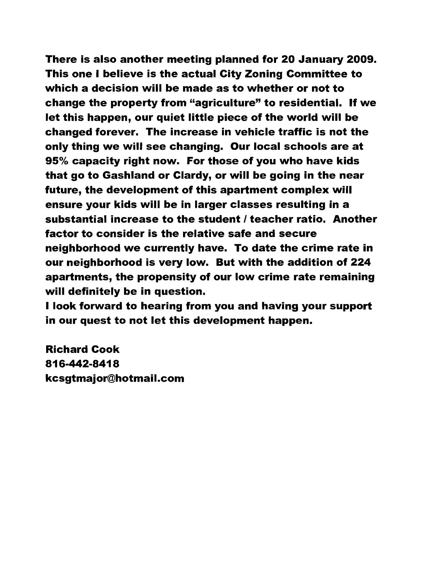There is also another meeting planned for 20 January 2009. This one I believe is the actual City Zoning Committee to which a decision will be made as to whether or not to change the property from "agriculture" to residential. If we let this happen, our quiet little piece of the world will be changed forever. The increase in vehicle traffic is not the only thing we will see changing. Our local schools are at 95% capacity right now. For those of you who have kids that go to Gashland or Clardy, or will be going in the near future, the development of this apartment complex will ensure your kids will be in larger classes resulting in a substantial increase to the student / teacher ratio. Another factor to consider is the relative safe and secure neighborhood we currently have. To date the crime rate in our neighborhood is very low. But with the addition of 224 apartments, the propensity of our low crime rate remaining will definitely be in question.

I look forward to hearing from you and having your support in our quest to not let this development happen.

Richard Cook 816-442-8418 kcsgtmajor@hotmail.com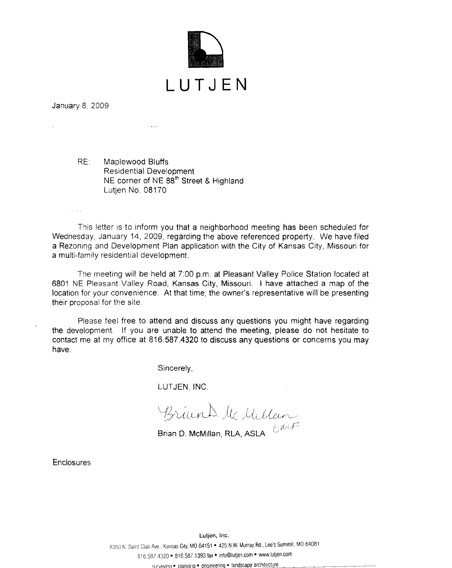

January 8, 2009

RE: Maplewood Bluffs Residential Development NE corner of NE 88<sup>th</sup> Street & Highland Lutjen No, 08170

 $\sim$  .

This letter is to inform you that a neighborhood meeting has been scheduled for Wednesday, January 14, 2009, regarding the above referenced property, We have filed a Rezoning and Development Plan application with the City of Kansas City, Missouri for a multi-family residential development.

The meeting will be held at 7:00 p,m, at Pleasant Valley Police Station located at 6801 NE Pleasant Valley Road, Kansas City, Missouri. I have attached a map of the location for your convenience, At that time, the owner's representative will be presenting their proposal for the site

Please feel free to attend and discuss any questions you might have regarding the development. If you are unable to attend the meeting, please do not hesitate to contact me at my office at 816,587.4320 to discuss any questions or concerns you may have,

Sincerely,

LUTJEN, INC,

\ *\-B)/*LA'(LVL1'j, vU.J~"L[,:*\_\_ ,L[c(/*\..-'

Brian D, McMillan, RLA, ASLA  $\mathcal{LMA}$ 

**Enclosures** 

Lutjen, Inc. 8350 N. Saint Clair Ave., Kansas City, MO 64151 · 425 N.W. Murray Rd., Lee's Summit, MO 64081 816.587.4320 · 816.587.1393 fax · info@lutjen.com · www.lutjen.com

surveving • planning • engineering • landscape architecture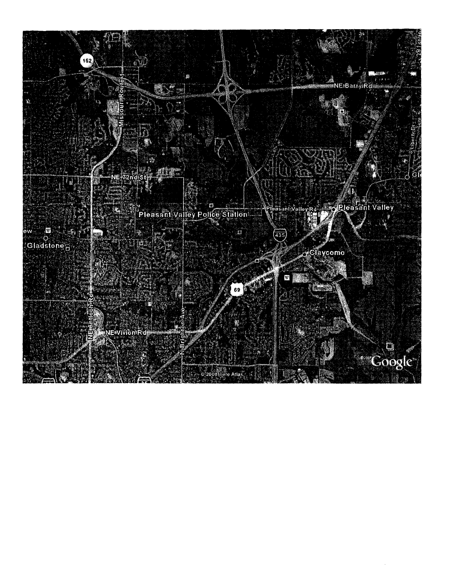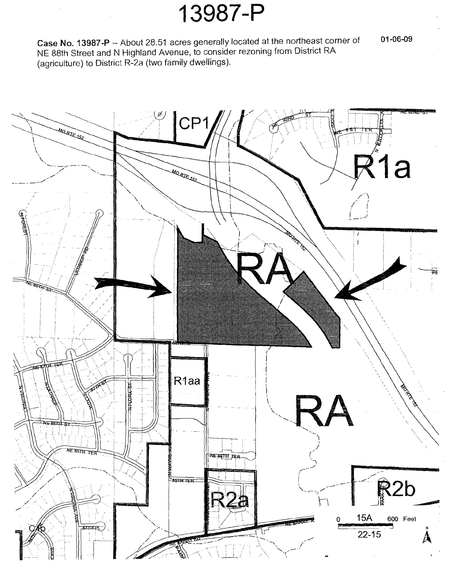## **13987-P**

**Case** No. **01-06-09** 139B?**-P** -- About 28.51 acres generally located at the northeast corner of NE 88th Street and N Highland Avenue, to consider rezoning from District RA (agriculture) to District R-2a (two family dwellings).